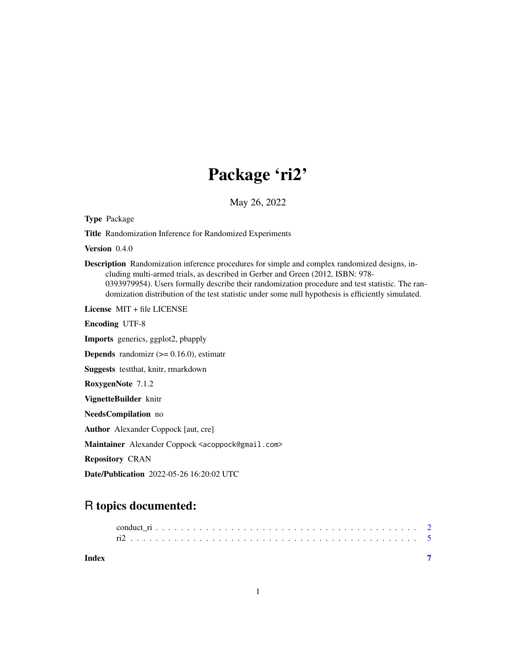## Package 'ri2'

May 26, 2022

<span id="page-0-0"></span>Type Package

Title Randomization Inference for Randomized Experiments

Version 0.4.0

Description Randomization inference procedures for simple and complex randomized designs, including multi-armed trials, as described in Gerber and Green (2012, ISBN: 978- 0393979954). Users formally describe their randomization procedure and test statistic. The randomization distribution of the test statistic under some null hypothesis is efficiently simulated.

License MIT + file LICENSE

Encoding UTF-8

Imports generics, ggplot2, pbapply

**Depends** randomizr  $(>= 0.16.0)$ , estimatr

Suggests testthat, knitr, rmarkdown

RoxygenNote 7.1.2

VignetteBuilder knitr

NeedsCompilation no

Author Alexander Coppock [aut, cre]

Maintainer Alexander Coppock <acoppock@gmail.com>

Repository CRAN

Date/Publication 2022-05-26 16:20:02 UTC

### R topics documented:

| Index |  |  |  |  |  |  |  |  |  |  |  |  |  |  |  |  |  |  |
|-------|--|--|--|--|--|--|--|--|--|--|--|--|--|--|--|--|--|--|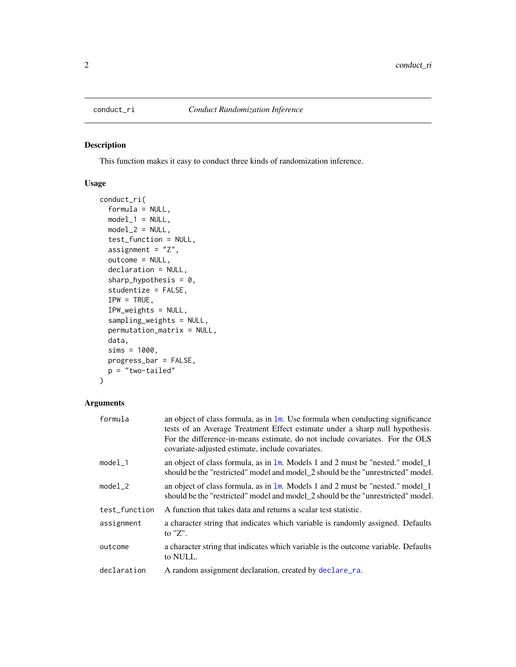<span id="page-1-0"></span>

#### Description

This function makes it easy to conduct three kinds of randomization inference.

#### Usage

```
conduct_ri(
 formula = NULL,
 model_1 = NULL,model_2 = NULL,test_function = NULL,
 assignment = "Z",
 outcome = NULL,
 declaration = NULL,
  sharp_hypothesis = 0,
  studentize = FALSE,
  IPW = TRUE,IPW_weights = NULL,
  sampling_weights = NULL,
 permutation_matrix = NULL,
 data,
  sims = 1000,progress_bar = FALSE,
 p = "two-tailed"
)
```
#### Arguments

| formula       | an object of class formula, as in $\text{1m}$ . Use formula when conducting significance<br>tests of an Average Treatment Effect estimate under a sharp null hypothesis.<br>For the difference-in-means estimate, do not include covariates. For the OLS<br>covariate-adjusted estimate, include covariates. |
|---------------|--------------------------------------------------------------------------------------------------------------------------------------------------------------------------------------------------------------------------------------------------------------------------------------------------------------|
| model_1       | an object of class formula, as in 1m. Models 1 and 2 must be "nested." model 1<br>should be the "restricted" model and model_2 should be the "unrestricted" model.                                                                                                                                           |
| model_2       | an object of class formula, as in 1m. Models 1 and 2 must be "nested." model 1<br>should be the "restricted" model and model_2 should be the "unrestricted" model.                                                                                                                                           |
| test_function | A function that takes data and returns a scalar test statistic.                                                                                                                                                                                                                                              |
| assignment    | a character string that indicates which variable is randomly assigned. Defaults<br>to $"Z"$ .                                                                                                                                                                                                                |
| outcome       | a character string that indicates which variable is the outcome variable. Defaults<br>to NULL.                                                                                                                                                                                                               |
| declaration   | A random assignment declaration, created by declare_ra.                                                                                                                                                                                                                                                      |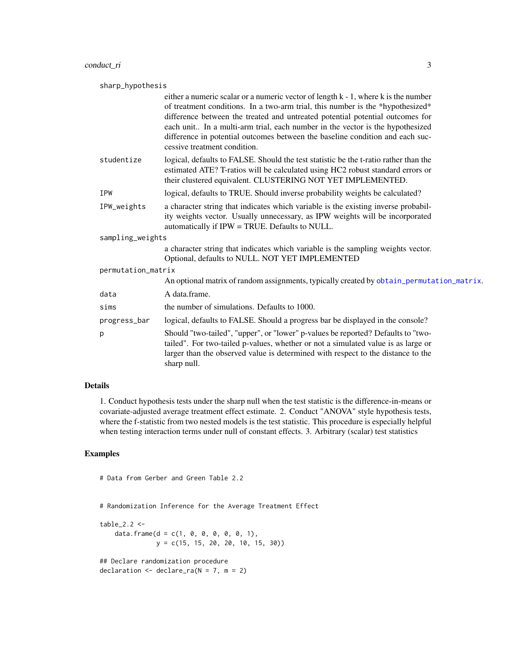<span id="page-2-0"></span>

| sharp_hypothesis                                                                                                                                                                                                                                                                                                                                                                                                                                        |  |  |  |  |  |  |  |  |
|---------------------------------------------------------------------------------------------------------------------------------------------------------------------------------------------------------------------------------------------------------------------------------------------------------------------------------------------------------------------------------------------------------------------------------------------------------|--|--|--|--|--|--|--|--|
| either a numeric scalar or a numeric vector of length k - 1, where k is the number<br>of treatment conditions. In a two-arm trial, this number is the *hypothesized*<br>difference between the treated and untreated potential potential outcomes for<br>each unit In a multi-arm trial, each number in the vector is the hypothesized<br>difference in potential outcomes between the baseline condition and each suc-<br>cessive treatment condition. |  |  |  |  |  |  |  |  |
| logical, defaults to FALSE. Should the test statistic be the t-ratio rather than the<br>estimated ATE? T-ratios will be calculated using HC2 robust standard errors or<br>their clustered equivalent. CLUSTERING NOT YET IMPLEMENTED.                                                                                                                                                                                                                   |  |  |  |  |  |  |  |  |
| logical, defaults to TRUE. Should inverse probability weights be calculated?                                                                                                                                                                                                                                                                                                                                                                            |  |  |  |  |  |  |  |  |
| a character string that indicates which variable is the existing inverse probabil-<br>ity weights vector. Usually unnecessary, as IPW weights will be incorporated<br>automatically if IPW = TRUE. Defaults to NULL.                                                                                                                                                                                                                                    |  |  |  |  |  |  |  |  |
| sampling_weights                                                                                                                                                                                                                                                                                                                                                                                                                                        |  |  |  |  |  |  |  |  |
| a character string that indicates which variable is the sampling weights vector.<br>Optional, defaults to NULL. NOT YET IMPLEMENTED                                                                                                                                                                                                                                                                                                                     |  |  |  |  |  |  |  |  |
| permutation_matrix                                                                                                                                                                                                                                                                                                                                                                                                                                      |  |  |  |  |  |  |  |  |
| An optional matrix of random assignments, typically created by obtain_permutation_matrix.                                                                                                                                                                                                                                                                                                                                                               |  |  |  |  |  |  |  |  |
| A data.frame.                                                                                                                                                                                                                                                                                                                                                                                                                                           |  |  |  |  |  |  |  |  |
| the number of simulations. Defaults to 1000.                                                                                                                                                                                                                                                                                                                                                                                                            |  |  |  |  |  |  |  |  |
| logical, defaults to FALSE. Should a progress bar be displayed in the console?                                                                                                                                                                                                                                                                                                                                                                          |  |  |  |  |  |  |  |  |
| Should "two-tailed", "upper", or "lower" p-values be reported? Defaults to "two-<br>tailed". For two-tailed p-values, whether or not a simulated value is as large or<br>larger than the observed value is determined with respect to the distance to the<br>sharp null.                                                                                                                                                                                |  |  |  |  |  |  |  |  |
|                                                                                                                                                                                                                                                                                                                                                                                                                                                         |  |  |  |  |  |  |  |  |

#### Details

1. Conduct hypothesis tests under the sharp null when the test statistic is the difference-in-means or covariate-adjusted average treatment effect estimate. 2. Conduct "ANOVA" style hypothesis tests, where the f-statistic from two nested models is the test statistic. This procedure is especially helpful when testing interaction terms under null of constant effects. 3. Arbitrary (scalar) test statistics

#### Examples

```
# Data from Gerber and Green Table 2.2
```
# Randomization Inference for the Average Treatment Effect

```
table_2.2 < -data.frame(d = c(1, 0, 0, 0, 0, 0, 1),
              y = c(15, 15, 20, 20, 10, 15, 30))
## Declare randomization procedure
declaration \leq declare_ra(N = 7, m = 2)
```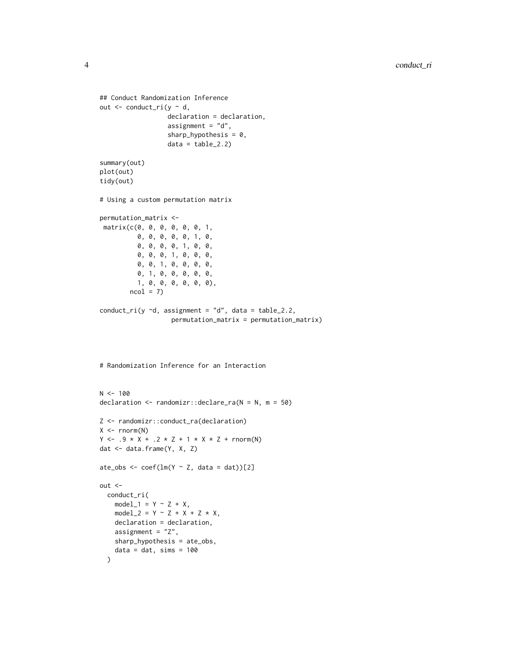```
## Conduct Randomization Inference
out \leq conduct_ri(y \sim d,
                   declaration = declaration,
                   assignment = "d",sharp_hypothesis = 0,
                   data = table_2.2)summary(out)
plot(out)
tidy(out)
# Using a custom permutation matrix
permutation_matrix <-
 matrix(c(0, 0, 0, 0, 0, 0, 1,
          0, 0, 0, 0, 0, 1, 0,
          0, 0, 0, 0, 1, 0, 0,
          0, 0, 0, 1, 0, 0, 0,
          0, 0, 1, 0, 0, 0, 0,
          0, 1, 0, 0, 0, 0, 0,
          1, 0, 0, 0, 0, 0, 0),
        ncol = 7conduct_ri(y ~d, assignment = "d", data = table_2.2,
                    permutation_matrix = permutation_matrix)
# Randomization Inference for an Interaction
N < - 100declaration \leq randomizr::declare_ra(N = N, m = 50)
Z <- randomizr::conduct_ra(declaration)
X \leftarrow \text{norm}(N)Y \leftarrow .9 * X + .2 * Z + 1 * X * Z + \text{rnorm}(N)dat <- data.frame(Y, X, Z)
ate_obs <- \text{coef}(\text{lm}(Y \sim Z, \text{ data = dat}))[2]out <-
  conduct_ri(
    model_1 = Y \sim Z + X,
    model_2 = Y \sim Z + X + Z \times X,
    declaration = declaration,
    assignment = "Z",sharp_hypothesis = ate_obs,
    data = dat, sims = 100)
```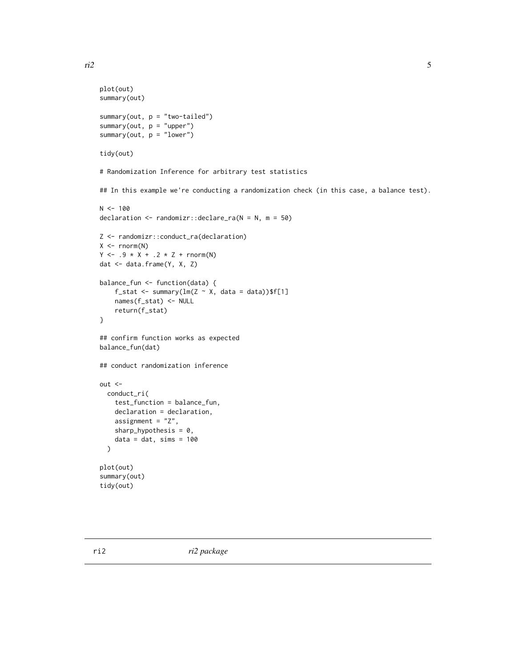```
plot(out)
summary(out)
summary(out, p = "two-tailed")
summary(out, p = "upper")summary(out, p = "lower")
tidy(out)
# Randomization Inference for arbitrary test statistics
## In this example we're conducting a randomization check (in this case, a balance test).
N < - 100declaration \leq randomizr::declare_ra(N = N, m = 50)
Z <- randomizr::conduct_ra(declaration)
X \leftarrow \text{norm}(N)Y \leftarrow .9 * X + .2 * Z + \text{rnorm}(N)dat <- data.frame(Y, X, Z)
balance_fun <- function(data) {
    f_stat <- summary(lm(Z \sim X, data = data))$f[1]
    names(f_stat) <- NULL
    return(f_stat)
}
## confirm function works as expected
balance_fun(dat)
## conduct randomization inference
out <-
  conduct_ri(
    test_function = balance_fun,
    declaration = declaration,
    assignment = "Z",
    sharp_hypothesis = 0,
    data = dat, sims = 100)
plot(out)
summary(out)
tidy(out)
```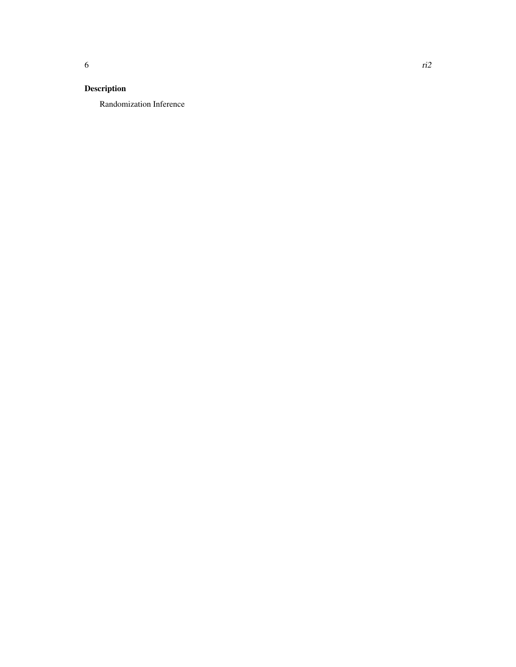#### Description

Randomization Inference